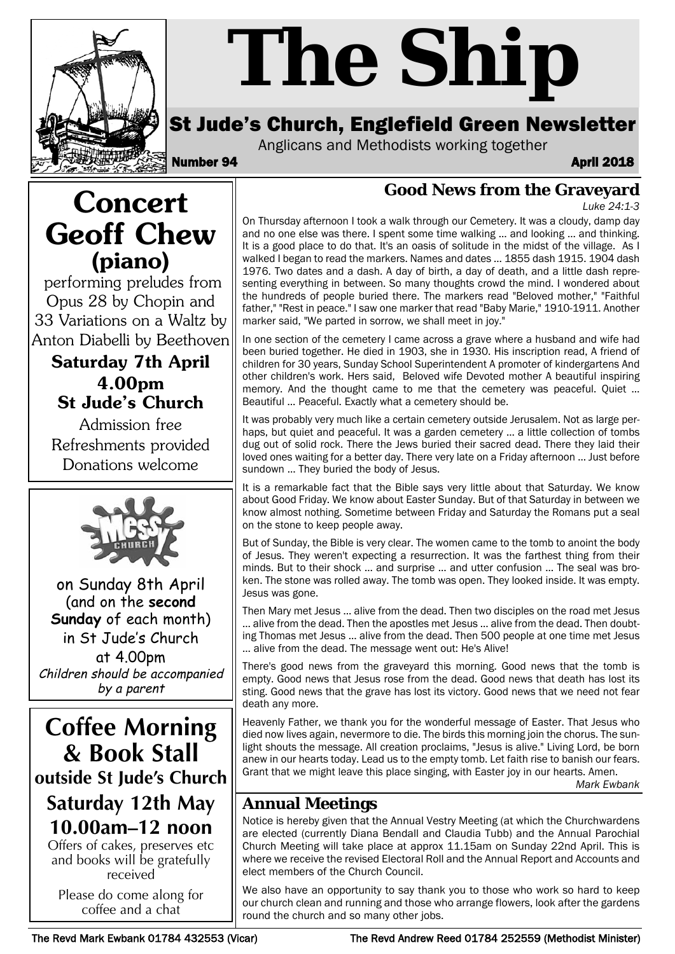

# *The Ship*

# St Jude's Church, Englefield Green Newsletter

Anglicans and Methodists working together

Number 94 **April 2018** 

**Good News from the Graveyard**

*Luke 24:1-3*

**Concert Geoff Chew (piano)**

performing preludes from Opus 28 by Chopin and 33 Variations on a Waltz by Anton Diabelli by Beethoven

## **Saturday 7th April 4.00pm St Jude's Church**

Admission free Refreshments provided Donations welcome



on Sunday 8th April (and on the **second Sunday** of each month) in St Jude's Church at 4.00pm Children should be accompanied by a parent

**Coffee Morning & Book Stall outside St Jude's Church Saturday 12th May**

# **10.00am–12 noon**

Offers of cakes, preserves etc and books will be gratefully received

Please do come along for coffee and a chat

On Thursday afternoon I took a walk through our Cemetery. It was a cloudy, damp day and no one else was there. I spent some time walking … and looking … and thinking. It is a good place to do that. It's an oasis of solitude in the midst of the village. As I walked I began to read the markers. Names and dates … 1855 dash 1915. 1904 dash 1976. Two dates and a dash. A day of birth, a day of death, and a little dash representing everything in between. So many thoughts crowd the mind. I wondered about the hundreds of people buried there. The markers read "Beloved mother," "Faithful father," "Rest in peace." I saw one marker that read "Baby Marie," 1910-1911. Another marker said, "We parted in sorrow, we shall meet in joy."

In one section of the cemetery I came across a grave where a husband and wife had been buried together. He died in 1903, she in 1930. His inscription read, A friend of children for 30 years, Sunday School Superintendent A promoter of kindergartens And other children's work. Hers said, Beloved wife Devoted mother A beautiful inspiring memory. And the thought came to me that the cemetery was peaceful. Quiet ... Beautiful … Peaceful. Exactly what a cemetery should be.

It was probably very much like a certain cemetery outside Jerusalem. Not as large perhaps, but quiet and peaceful. It was a garden cemetery … a little collection of tombs dug out of solid rock. There the Jews buried their sacred dead. There they laid their loved ones waiting for a better day. There very late on a Friday afternoon … Just before sundown … They buried the body of Jesus.

It is a remarkable fact that the Bible says very little about that Saturday. We know about Good Friday. We know about Easter Sunday. But of that Saturday in between we know almost nothing. Sometime between Friday and Saturday the Romans put a seal on the stone to keep people away.

But of Sunday, the Bible is very clear. The women came to the tomb to anoint the body of Jesus. They weren't expecting a resurrection. It was the farthest thing from their minds. But to their shock … and surprise … and utter confusion … The seal was broken. The stone was rolled away. The tomb was open. They looked inside. It was empty. Jesus was gone.

Then Mary met Jesus … alive from the dead. Then two disciples on the road met Jesus … alive from the dead. Then the apostles met Jesus … alive from the dead. Then doubting Thomas met Jesus … alive from the dead. Then 500 people at one time met Jesus … alive from the dead. The message went out: He's Alive!

There's good news from the graveyard this morning. Good news that the tomb is empty. Good news that Jesus rose from the dead. Good news that death has lost its sting. Good news that the grave has lost its victory. Good news that we need not fear death any more.

Heavenly Father, we thank you for the wonderful message of Easter. That Jesus who died now lives again, nevermore to die. The birds this morning join the chorus. The sunlight shouts the message. All creation proclaims, "Jesus is alive." Living Lord, be born anew in our hearts today. Lead us to the empty tomb. Let faith rise to banish our fears. Grant that we might leave this place singing, with Easter joy in our hearts. Amen.

*Mark Ewbank*

# **Annual Meetings**

Notice is hereby given that the Annual Vestry Meeting (at which the Churchwardens are elected (currently Diana Bendall and Claudia Tubb) and the Annual Parochial Church Meeting will take place at approx 11.15am on Sunday 22nd April. This is where we receive the revised Electoral Roll and the Annual Report and Accounts and elect members of the Church Council.

We also have an opportunity to say thank you to those who work so hard to keep our church clean and running and those who arrange flowers, look after the gardens round the church and so many other jobs.